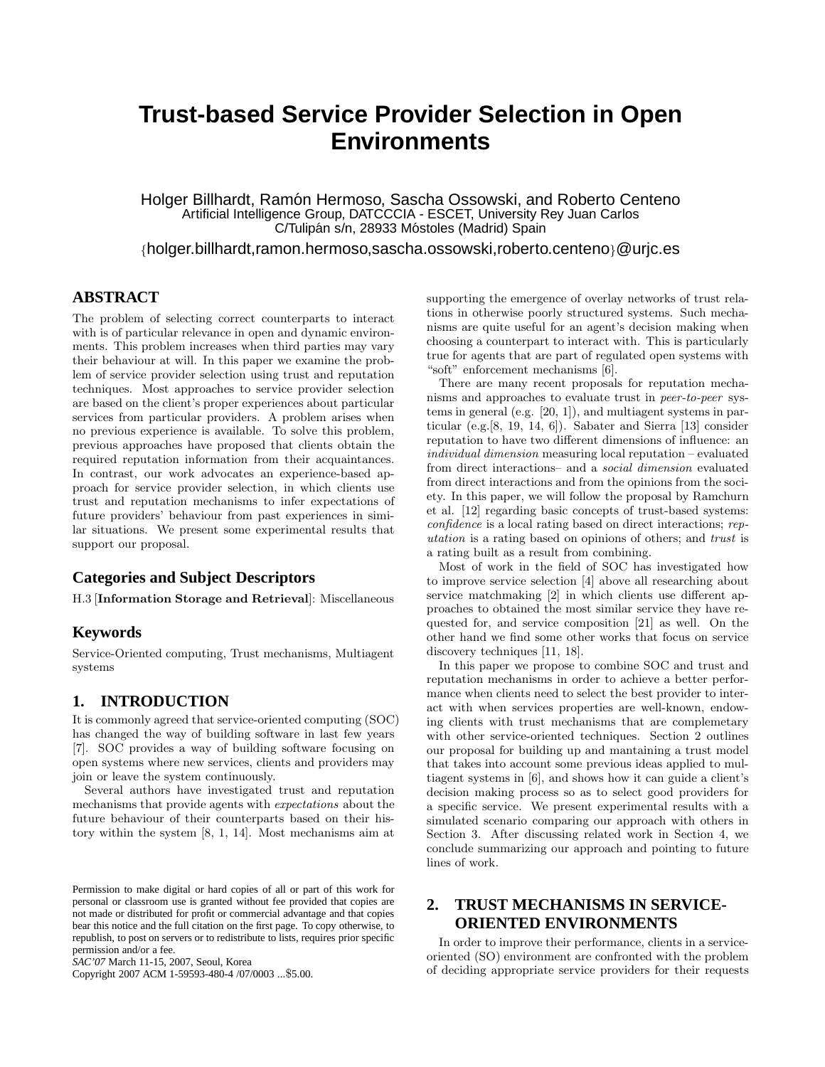# **Trust-based Service Provider Selection in Open Environments**

Holger Billhardt, Ramón Hermoso, Sascha Ossowski, and Roberto Centeno Artificial Intelligence Group, DATCCCIA - ESCET, University Rey Juan Carlos C/Tulipán s/n, 28933 Móstoles (Madrid) Spain

{holger.billhardt,ramon.hermoso,sascha.ossowski,roberto.centeno}@urjc.es

# **ABSTRACT**

The problem of selecting correct counterparts to interact with is of particular relevance in open and dynamic environments. This problem increases when third parties may vary their behaviour at will. In this paper we examine the problem of service provider selection using trust and reputation techniques. Most approaches to service provider selection are based on the client's proper experiences about particular services from particular providers. A problem arises when no previous experience is available. To solve this problem, previous approaches have proposed that clients obtain the required reputation information from their acquaintances. In contrast, our work advocates an experience-based approach for service provider selection, in which clients use trust and reputation mechanisms to infer expectations of future providers' behaviour from past experiences in similar situations. We present some experimental results that support our proposal.

# **Categories and Subject Descriptors**

H.3 [Information Storage and Retrieval]: Miscellaneous

#### **Keywords**

Service-Oriented computing, Trust mechanisms, Multiagent systems

### **1. INTRODUCTION**

It is commonly agreed that service-oriented computing (SOC) has changed the way of building software in last few years [7]. SOC provides a way of building software focusing on open systems where new services, clients and providers may join or leave the system continuously.

Several authors have investigated trust and reputation mechanisms that provide agents with expectations about the future behaviour of their counterparts based on their history within the system [8, 1, 14]. Most mechanisms aim at

*SAC'07* March 11-15, 2007, Seoul, Korea

Copyright 2007 ACM 1-59593-480-4 /07/0003 ...\$5.00.

supporting the emergence of overlay networks of trust relations in otherwise poorly structured systems. Such mechanisms are quite useful for an agent's decision making when choosing a counterpart to interact with. This is particularly true for agents that are part of regulated open systems with "soft" enforcement mechanisms [6].

There are many recent proposals for reputation mechanisms and approaches to evaluate trust in peer-to-peer systems in general (e.g. [20, 1]), and multiagent systems in particular (e.g.[8, 19, 14, 6]). Sabater and Sierra [13] consider reputation to have two different dimensions of influence: an individual dimension measuring local reputation – evaluated from direct interactions– and a social dimension evaluated from direct interactions and from the opinions from the society. In this paper, we will follow the proposal by Ramchurn et al. [12] regarding basic concepts of trust-based systems: confidence is a local rating based on direct interactions; reputation is a rating based on opinions of others; and trust is a rating built as a result from combining.

Most of work in the field of SOC has investigated how to improve service selection [4] above all researching about service matchmaking [2] in which clients use different approaches to obtained the most similar service they have requested for, and service composition [21] as well. On the other hand we find some other works that focus on service discovery techniques [11, 18].

In this paper we propose to combine SOC and trust and reputation mechanisms in order to achieve a better performance when clients need to select the best provider to interact with when services properties are well-known, endowing clients with trust mechanisms that are complemetary with other service-oriented techniques. Section 2 outlines our proposal for building up and mantaining a trust model that takes into account some previous ideas applied to multiagent systems in [6], and shows how it can guide a client's decision making process so as to select good providers for a specific service. We present experimental results with a simulated scenario comparing our approach with others in Section 3. After discussing related work in Section 4, we conclude summarizing our approach and pointing to future lines of work.

# **2. TRUST MECHANISMS IN SERVICE-ORIENTED ENVIRONMENTS**

In order to improve their performance, clients in a serviceoriented (SO) environment are confronted with the problem of deciding appropriate service providers for their requests

Permission to make digital or hard copies of all or part of this work for personal or classroom use is granted without fee provided that copies are not made or distributed for profit or commercial advantage and that copies bear this notice and the full citation on the first page. To copy otherwise, to republish, to post on servers or to redistribute to lists, requires prior specific permission and/or a fee.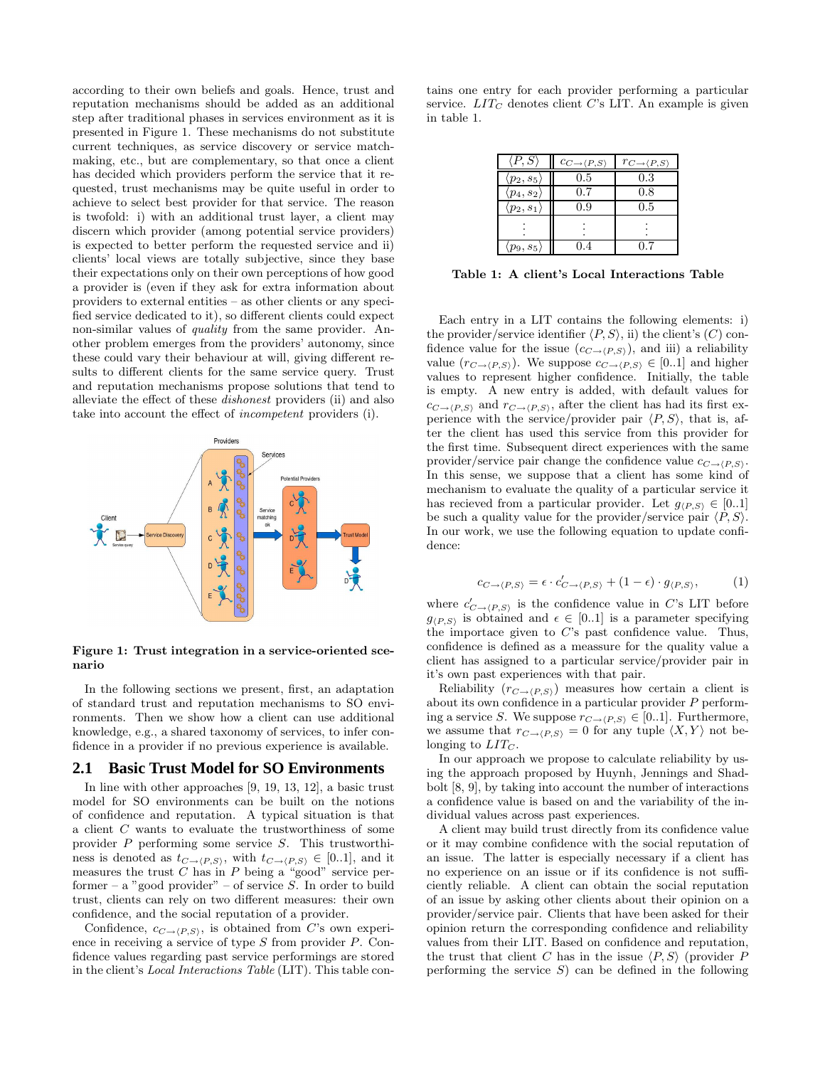according to their own beliefs and goals. Hence, trust and reputation mechanisms should be added as an additional step after traditional phases in services environment as it is presented in Figure 1. These mechanisms do not substitute current techniques, as service discovery or service matchmaking, etc., but are complementary, so that once a client has decided which providers perform the service that it requested, trust mechanisms may be quite useful in order to achieve to select best provider for that service. The reason is twofold: i) with an additional trust layer, a client may discern which provider (among potential service providers) is expected to better perform the requested service and ii) clients' local views are totally subjective, since they base their expectations only on their own perceptions of how good a provider is (even if they ask for extra information about providers to external entities – as other clients or any specified service dedicated to it), so different clients could expect non-similar values of *quality* from the same provider. Another problem emerges from the providers' autonomy, since these could vary their behaviour at will, giving different results to different clients for the same service query. Trust and reputation mechanisms propose solutions that tend to alleviate the effect of these dishonest providers (ii) and also take into account the effect of incompetent providers (i).



Figure 1: Trust integration in a service-oriented scenario

In the following sections we present, first, an adaptation of standard trust and reputation mechanisms to SO environments. Then we show how a client can use additional knowledge, e.g., a shared taxonomy of services, to infer confidence in a provider if no previous experience is available.

#### **2.1 Basic Trust Model for SO Environments**

In line with other approaches [9, 19, 13, 12], a basic trust model for SO environments can be built on the notions of confidence and reputation. A typical situation is that a client C wants to evaluate the trustworthiness of some provider  $P$  performing some service  $S$ . This trustworthiness is denoted as  $t_{C\to \langle P,S\rangle}$ , with  $t_{C\to \langle P,S\rangle} \in [0..1]$ , and it measures the trust  $C$  has in  $P$  being a "good" service performer – a "good provider" – of service  $S$ . In order to build trust, clients can rely on two different measures: their own confidence, and the social reputation of a provider.

Confidence,  $c_{C\rightarrow (P,S)}$ , is obtained from C's own experience in receiving a service of type  $S$  from provider  $P$ . Confidence values regarding past service performings are stored in the client's Local Interactions Table (LIT). This table contains one entry for each provider performing a particular service.  $LIT_C$  denotes client C's LIT. An example is given in table 1.

| $\langle P,S\rangle$     | $c_{C \to \langle P,S \rangle}$ | $r_{C \rightarrow \langle P,S \rangle}$ |
|--------------------------|---------------------------------|-----------------------------------------|
| $\langle p_2,s_5\rangle$ | 0.5                             | $0.3\,$                                 |
| $\langle p_4,s_2\rangle$ | 0.7                             | 0.8                                     |
| $\langle p_2,s_1\rangle$ | 0.9                             | 0.5                                     |
|                          |                                 |                                         |
| $\langle p_9,s_5\rangle$ | 0.4                             | 0.7                                     |

Table 1: A client's Local Interactions Table

Each entry in a LIT contains the following elements: i) the provider/service identifier  $\langle P, S \rangle$ , ii) the client's (C) confidence value for the issue  $(c_{C\to \langle P,S\rangle})$ , and iii) a reliability value  $(r_{C\to \langle P,S\rangle})$ . We suppose  $c_{C\to \langle P,S\rangle} \in [0,1]$  and higher values to represent higher confidence. Initially, the table is empty. A new entry is added, with default values for  $c_{C\rightarrow \langle P,S\rangle}$  and  $r_{C\rightarrow \langle P,S\rangle}$ , after the client has had its first experience with the service/provider pair  $\langle P, S \rangle$ , that is, after the client has used this service from this provider for the first time. Subsequent direct experiences with the same provider/service pair change the confidence value  $c_{C\rightarrow (P,S)}$ . In this sense, we suppose that a client has some kind of mechanism to evaluate the quality of a particular service it has recieved from a particular provider. Let  $g_{\langle P,S \rangle} \in [0..1]$ be such a quality value for the provider/service pair  $\langle P, S \rangle$ . In our work, we use the following equation to update confidence:

$$
c_{C \to \langle P,S \rangle} = \epsilon \cdot c'_{C \to \langle P,S \rangle} + (1 - \epsilon) \cdot g_{\langle P,S \rangle}, \tag{1}
$$

where  $c'_{C \to \langle P,S \rangle}$  is the confidence value in C's LIT before  $g_{\langle P,S\rangle}$  is obtained and  $\epsilon \in [0..1]$  is a parameter specifying the importace given to  $C$ 's past confidence value. Thus, confidence is defined as a meassure for the quality value a client has assigned to a particular service/provider pair in it's own past experiences with that pair.

Reliability  $(r_{C\rightarrow \langle P,S\rangle})$  measures how certain a client is about its own confidence in a particular provider P performing a service S. We suppose  $r_{C\rightarrow \langle P,S\rangle} \in [0..1]$ . Furthermore, we assume that  $r_{C\to \langle P,S\rangle} = 0$  for any tuple  $\langle X, Y \rangle$  not belonging to  $LIT_C$ .

In our approach we propose to calculate reliability by using the approach proposed by Huynh, Jennings and Shadbolt [8, 9], by taking into account the number of interactions a confidence value is based on and the variability of the individual values across past experiences.

A client may build trust directly from its confidence value or it may combine confidence with the social reputation of an issue. The latter is especially necessary if a client has no experience on an issue or if its confidence is not sufficiently reliable. A client can obtain the social reputation of an issue by asking other clients about their opinion on a provider/service pair. Clients that have been asked for their opinion return the corresponding confidence and reliability values from their LIT. Based on confidence and reputation, the trust that client C has in the issue  $\langle P, S \rangle$  (provider P performing the service  $S$ ) can be defined in the following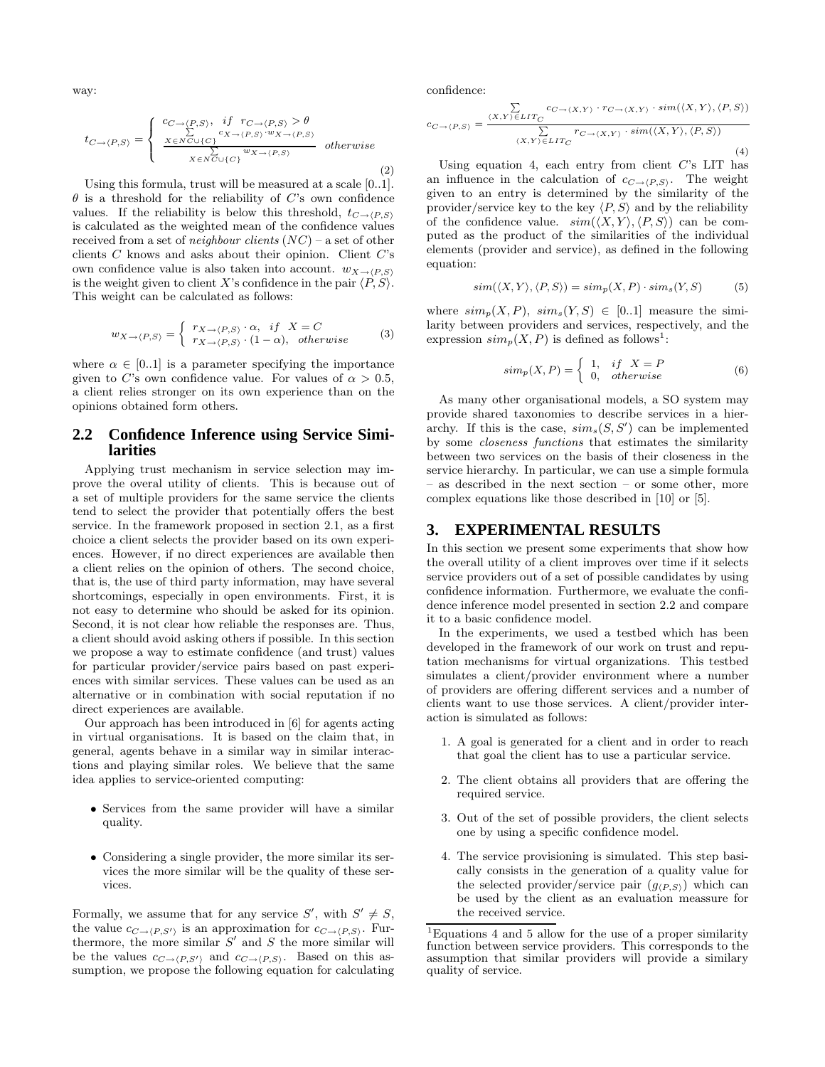way:

$$
t_{C \to \langle P,S \rangle} = \begin{cases} c_{C \to \langle P,S \rangle}, & if \ r_{C \to \langle P,S \rangle} > \theta \\ \sum_{\sum_{X \in NC \cup \{C\}} c_X \to \langle P,S \rangle} w_{X \to \langle P,S \rangle} \\ \frac{\sum_{X \in NC \cup \{C\}} w_{X \to \langle P,S \rangle}}{\sum_{X \in NC \cup \{C\}} w_{X \to \langle P,S \rangle}} & otherwise \end{cases} \tag{2}
$$

Using this formula, trust will be measured at a scale [0..1].  $\theta$  is a threshold for the reliability of C's own confidence values. If the reliability is below this threshold,  $t_{C\rightarrow \langle P,S\rangle}$ is calculated as the weighted mean of the confidence values received from a set of *neighbour clients*  $(NC)$  – a set of other clients  $C$  knows and asks about their opinion. Client  $C$ 's own confidence value is also taken into account.  $w_{X\to \langle P,S\rangle}$ is the weight given to client X's confidence in the pair  $\langle P, S \rangle$ . This weight can be calculated as follows:

$$
w_{X \to \langle P, S \rangle} = \begin{cases} r_{X \to \langle P, S \rangle} \cdot \alpha, & \text{if } X = C \\ r_{X \to \langle P, S \rangle} \cdot (1 - \alpha), & \text{otherwise} \end{cases}
$$
 (3)

where  $\alpha \in [0..1]$  is a parameter specifying the importance given to C's own confidence value. For values of  $\alpha > 0.5$ , a client relies stronger on its own experience than on the opinions obtained form others.

#### **2.2 Confidence Inference using Service Similarities**

Applying trust mechanism in service selection may improve the overal utility of clients. This is because out of a set of multiple providers for the same service the clients tend to select the provider that potentially offers the best service. In the framework proposed in section 2.1, as a first choice a client selects the provider based on its own experiences. However, if no direct experiences are available then a client relies on the opinion of others. The second choice, that is, the use of third party information, may have several shortcomings, especially in open environments. First, it is not easy to determine who should be asked for its opinion. Second, it is not clear how reliable the responses are. Thus, a client should avoid asking others if possible. In this section we propose a way to estimate confidence (and trust) values for particular provider/service pairs based on past experiences with similar services. These values can be used as an alternative or in combination with social reputation if no direct experiences are available.

Our approach has been introduced in [6] for agents acting in virtual organisations. It is based on the claim that, in general, agents behave in a similar way in similar interactions and playing similar roles. We believe that the same idea applies to service-oriented computing:

- Services from the same provider will have a similar quality.
- Considering a single provider, the more similar its services the more similar will be the quality of these services.

Formally, we assume that for any service  $S'$ , with  $S' \neq S$ , the value  $c_{C\rightarrow (P,S')}$  is an approximation for  $c_{C\rightarrow (P,S)}$ . Furthermore, the more similar  $S'$  and  $S$  the more similar will be the values  $c_{C\rightarrow (P,S')}$  and  $c_{C\rightarrow (P,S)}$ . Based on this assumption, we propose the following equation for calculating confidence:

$$
c_{C \to \langle P,S \rangle} = \frac{\sum\limits_{(X,Y) \in LIT_C} c_{C \to \langle X,Y \rangle} \cdot r_{C \to \langle X,Y \rangle} \cdot sim(\langle X,Y \rangle, \langle P,S \rangle)}{\sum\limits_{(X,Y) \in LIT_C} r_{C \to \langle X,Y \rangle} \cdot sim(\langle X,Y \rangle, \langle P,S \rangle)}
$$
(4)

Using equation 4, each entry from client  $C$ 's LIT has an influence in the calculation of  $c_{C\rightarrow (P,S)}$ . The weight given to an entry is determined by the similarity of the provider/service key to the key  $\langle P, S \rangle$  and by the reliability of the confidence value.  $sim(\langle X, Y \rangle, \langle P, S \rangle)$  can be computed as the product of the similarities of the individual elements (provider and service), as defined in the following equation:

$$
sim(\langle X, Y \rangle, \langle P, S \rangle) = sim_p(X, P) \cdot sim_s(Y, S) \tag{5}
$$

where  $sim_p(X, P)$ ,  $sim_s(Y, S) \in [0..1]$  measure the similarity between providers and services, respectively, and the expression  $\mathit{sim}_p(X, P)$  is defined as follows<sup>1</sup>:

$$
sim_p(X, P) = \begin{cases} 1, & if \ X = P \\ 0, & otherwise \end{cases}
$$
 (6)

As many other organisational models, a SO system may provide shared taxonomies to describe services in a hierarchy. If this is the case,  $sim_s(S, S')$  can be implemented by some closeness functions that estimates the similarity between two services on the basis of their closeness in the service hierarchy. In particular, we can use a simple formula – as described in the next section – or some other, more complex equations like those described in [10] or [5].

#### **3. EXPERIMENTAL RESULTS**

In this section we present some experiments that show how the overall utility of a client improves over time if it selects service providers out of a set of possible candidates by using confidence information. Furthermore, we evaluate the confidence inference model presented in section 2.2 and compare it to a basic confidence model.

In the experiments, we used a testbed which has been developed in the framework of our work on trust and reputation mechanisms for virtual organizations. This testbed simulates a client/provider environment where a number of providers are offering different services and a number of clients want to use those services. A client/provider interaction is simulated as follows:

- 1. A goal is generated for a client and in order to reach that goal the client has to use a particular service.
- 2. The client obtains all providers that are offering the required service.
- 3. Out of the set of possible providers, the client selects one by using a specific confidence model.
- 4. The service provisioning is simulated. This step basically consists in the generation of a quality value for the selected provider/service pair  $(g_{(P,S)})$  which can be used by the client as an evaluation meassure for the received service.

<sup>1</sup>Equations 4 and 5 allow for the use of a proper similarity function between service providers. This corresponds to the assumption that similar providers will provide a similary quality of service.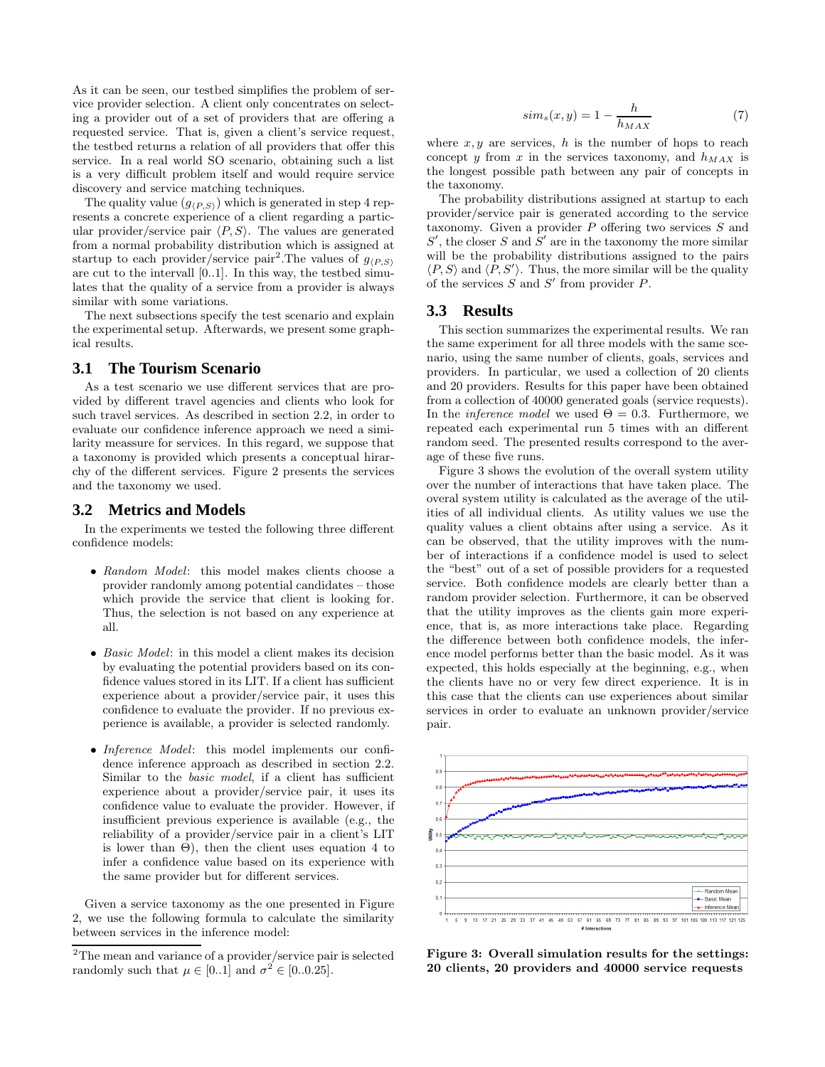As it can be seen, our testbed simplifies the problem of service provider selection. A client only concentrates on selecting a provider out of a set of providers that are offering a requested service. That is, given a client's service request, the testbed returns a relation of all providers that offer this service. In a real world SO scenario, obtaining such a list is a very difficult problem itself and would require service discovery and service matching techniques.

The quality value  $(g_{\langle P,S \rangle})$  which is generated in step 4 represents a concrete experience of a client regarding a particular provider/service pair  $\langle P, S \rangle$ . The values are generated from a normal probability distribution which is assigned at startup to each provider/service pair<sup>2</sup>. The values of  $g_{(P,S)}$ are cut to the intervall [0..1]. In this way, the testbed simulates that the quality of a service from a provider is always similar with some variations.

The next subsections specify the test scenario and explain the experimental setup. Afterwards, we present some graphical results.

#### **3.1 The Tourism Scenario**

As a test scenario we use different services that are provided by different travel agencies and clients who look for such travel services. As described in section 2.2, in order to evaluate our confidence inference approach we need a similarity meassure for services. In this regard, we suppose that a taxonomy is provided which presents a conceptual hirarchy of the different services. Figure 2 presents the services and the taxonomy we used.

#### **3.2 Metrics and Models**

In the experiments we tested the following three different confidence models:

- Random Model: this model makes clients choose a provider randomly among potential candidates – those which provide the service that client is looking for. Thus, the selection is not based on any experience at all.
- Basic Model: in this model a client makes its decision by evaluating the potential providers based on its confidence values stored in its LIT. If a client has sufficient experience about a provider/service pair, it uses this confidence to evaluate the provider. If no previous experience is available, a provider is selected randomly.
- Inference Model: this model implements our confidence inference approach as described in section 2.2. Similar to the basic model, if a client has sufficient experience about a provider/service pair, it uses its confidence value to evaluate the provider. However, if insufficient previous experience is available (e.g., the reliability of a provider/service pair in a client's LIT is lower than  $\Theta$ ), then the client uses equation 4 to infer a confidence value based on its experience with the same provider but for different services.

Given a service taxonomy as the one presented in Figure 2, we use the following formula to calculate the similarity between services in the inference model:

$$
sim_s(x,y) = 1 - \frac{h}{h_{MAX}} \tag{7}
$$

where  $x, y$  are services, h is the number of hops to reach concept y from x in the services taxonomy, and  $h_{MAX}$  is the longest possible path between any pair of concepts in the taxonomy.

The probability distributions assigned at startup to each provider/service pair is generated according to the service taxonomy. Given a provider P offering two services S and  $S'$ , the closer  $S$  and  $S'$  are in the taxonomy the more similar will be the probability distributions assigned to the pairs  $\langle P, S \rangle$  and  $\langle P, S' \rangle$ . Thus, the more similar will be the quality of the services  $S$  and  $S'$  from provider  $P$ .

#### **3.3 Results**

This section summarizes the experimental results. We ran the same experiment for all three models with the same scenario, using the same number of clients, goals, services and providers. In particular, we used a collection of 20 clients and 20 providers. Results for this paper have been obtained from a collection of 40000 generated goals (service requests). In the *inference model* we used  $\Theta = 0.3$ . Furthermore, we repeated each experimental run 5 times with an different random seed. The presented results correspond to the average of these five runs.

Figure 3 shows the evolution of the overall system utility over the number of interactions that have taken place. The overal system utility is calculated as the average of the utilities of all individual clients. As utility values we use the quality values a client obtains after using a service. As it can be observed, that the utility improves with the number of interactions if a confidence model is used to select the "best" out of a set of possible providers for a requested service. Both confidence models are clearly better than a random provider selection. Furthermore, it can be observed that the utility improves as the clients gain more experience, that is, as more interactions take place. Regarding the difference between both confidence models, the inference model performs better than the basic model. As it was expected, this holds especially at the beginning, e.g., when the clients have no or very few direct experience. It is in this case that the clients can use experiences about similar services in order to evaluate an unknown provider/service pair.



Figure 3: Overall simulation results for the settings: 20 clients, 20 providers and 40000 service requests

<sup>2</sup>The mean and variance of a provider/service pair is selected randomly such that  $\mu \in [0..1]$  and  $\sigma^2 \in [0..0.25]$ .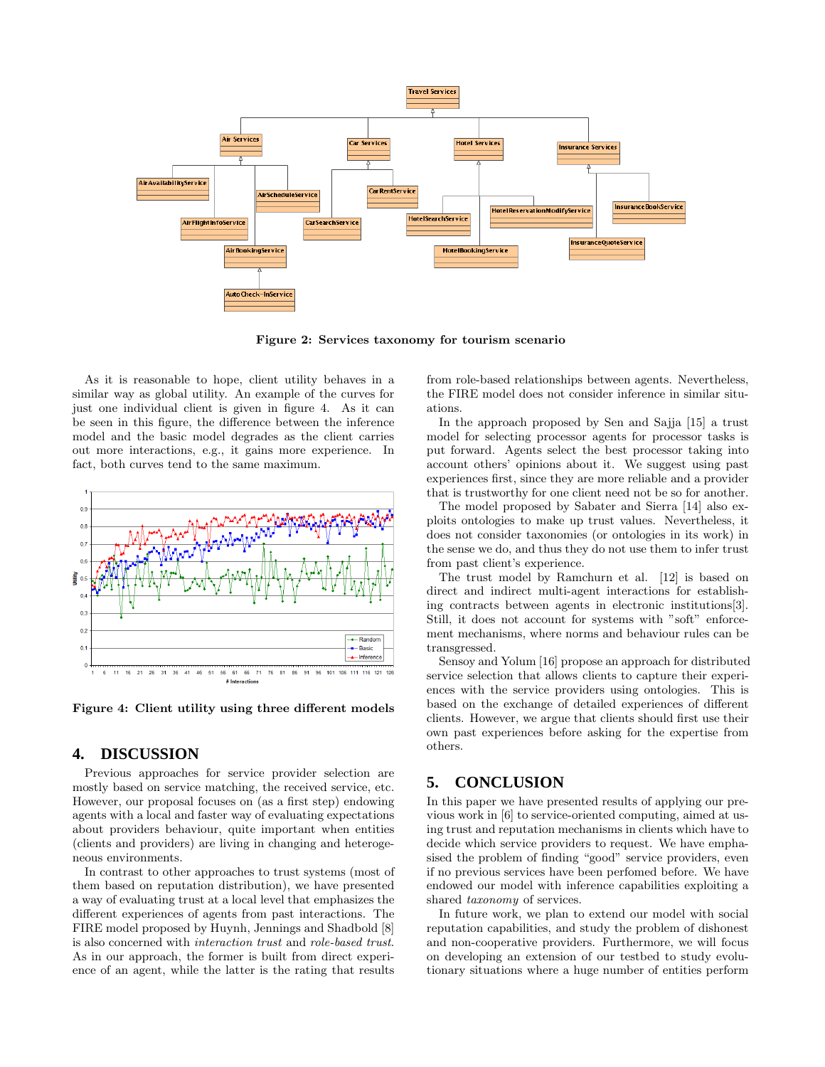

Figure 2: Services taxonomy for tourism scenario

As it is reasonable to hope, client utility behaves in a similar way as global utility. An example of the curves for just one individual client is given in figure 4. As it can be seen in this figure, the difference between the inference model and the basic model degrades as the client carries out more interactions, e.g., it gains more experience. In fact, both curves tend to the same maximum.



Figure 4: Client utility using three different models

# **4. DISCUSSION**

Previous approaches for service provider selection are mostly based on service matching, the received service, etc. However, our proposal focuses on (as a first step) endowing agents with a local and faster way of evaluating expectations about providers behaviour, quite important when entities (clients and providers) are living in changing and heterogeneous environments.

In contrast to other approaches to trust systems (most of them based on reputation distribution), we have presented a way of evaluating trust at a local level that emphasizes the different experiences of agents from past interactions. The FIRE model proposed by Huynh, Jennings and Shadbold [8] is also concerned with interaction trust and role-based trust. As in our approach, the former is built from direct experience of an agent, while the latter is the rating that results

from role-based relationships between agents. Nevertheless, the FIRE model does not consider inference in similar situations.

In the approach proposed by Sen and Sajja [15] a trust model for selecting processor agents for processor tasks is put forward. Agents select the best processor taking into account others' opinions about it. We suggest using past experiences first, since they are more reliable and a provider that is trustworthy for one client need not be so for another.

The model proposed by Sabater and Sierra [14] also exploits ontologies to make up trust values. Nevertheless, it does not consider taxonomies (or ontologies in its work) in the sense we do, and thus they do not use them to infer trust from past client's experience.

The trust model by Ramchurn et al. [12] is based on direct and indirect multi-agent interactions for establishing contracts between agents in electronic institutions[3]. Still, it does not account for systems with "soft" enforcement mechanisms, where norms and behaviour rules can be transgressed.

Sensoy and Yolum [16] propose an approach for distributed service selection that allows clients to capture their experiences with the service providers using ontologies. This is based on the exchange of detailed experiences of different clients. However, we argue that clients should first use their own past experiences before asking for the expertise from others.

# **5. CONCLUSION**

In this paper we have presented results of applying our previous work in [6] to service-oriented computing, aimed at using trust and reputation mechanisms in clients which have to decide which service providers to request. We have emphasised the problem of finding "good" service providers, even if no previous services have been perfomed before. We have endowed our model with inference capabilities exploiting a shared *taxonomy* of services.

In future work, we plan to extend our model with social reputation capabilities, and study the problem of dishonest and non-cooperative providers. Furthermore, we will focus on developing an extension of our testbed to study evolutionary situations where a huge number of entities perform